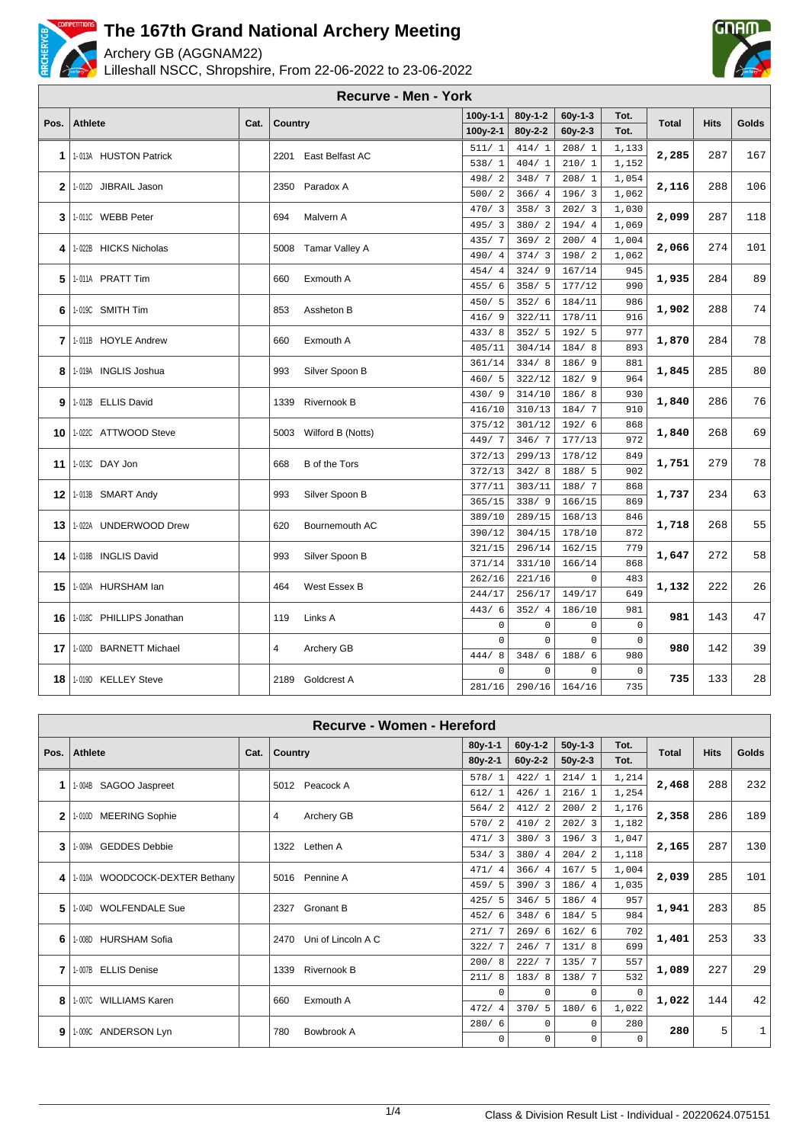

Archery GB (AGGNAM22)

Lilleshall NSCC, Shropshire, From 22-06-2022 to 23-06-2022



|              |                               |      |         | <b>Recurve - Men - York</b> |                        |                  |                |             |              |             |       |
|--------------|-------------------------------|------|---------|-----------------------------|------------------------|------------------|----------------|-------------|--------------|-------------|-------|
|              |                               |      |         |                             | $100y-1-1$             | $80v-1-2$        | $60y-1-3$      | Tot.        |              |             |       |
| Pos.         | <b>Athlete</b>                | Cat. | Country |                             | $100y-2-1$             | $80y - 2 - 2$    | $60y - 2 - 3$  | Tot.        | <b>Total</b> | <b>Hits</b> | Golds |
|              |                               |      |         |                             | 511/1                  | 414/1            | 208/1          | 1,133       |              |             |       |
| 1            | 1-013A HUSTON Patrick         |      | 2201    | East Belfast AC             | 538/1                  | 404/1            | 210/1          | 1,152       | 2,285        | 287         | 167   |
|              |                               |      |         |                             | 2<br>498/              | 348/7            | 208/1          | 1,054       |              | 288         | 106   |
| $\mathbf{2}$ | 1-012D JIBRAIL Jason          |      | 2350    | Paradox A                   | 500/2                  | 366/4            | 196/3          | 1,062       | 2,116        |             |       |
| 3            | 1-0110 WEBB Peter             |      | 694     | Malvern A                   | 470/3                  | 358/3            | 202/3          | 1,030       | 2,099        | 287         | 118   |
|              |                               |      |         |                             | 495/3                  | 380/2            | 194/4          | 1,069       |              |             |       |
| 4            | 1-022B HICKS Nicholas         |      |         | 5008 Tamar Valley A         | 435/7                  | 369/2            | 200/4          | 1,004       | 2,066        | 274         | 101   |
|              |                               |      |         |                             | 490/<br>$\overline{4}$ | 374/3            | 198/2          | 1,062       |              |             |       |
| 5            | 1-011A PRATT Tim              |      | 660     | Exmouth A                   | 454/<br>$\overline{4}$ | 324/9            | 167/14         | 945         | 1,935        | 284         | 89    |
|              |                               |      |         |                             | 455/<br>6              | 358/5            | 177/12         | 990         |              |             |       |
| 6            | 1-019C SMITH Tim              |      | 853     | Assheton B                  | 450/5                  | 352/6            | 184/11         | 986         | 1,902        | 288         | 74    |
|              |                               |      |         |                             | 416/<br>9              | 322/11           | 178/11         | 916         |              |             |       |
| 7            | 1-011B HOYLE Andrew           |      | 660     | Exmouth A                   | 433/8                  | 352/5            | 192/5          | 977         | 1,870        | 284         | 78    |
|              |                               |      |         |                             | 405/11                 | 304/14           | 184/8          | 893         |              |             |       |
| 8            | 1-019A INGLIS Joshua          |      | 993     | Silver Spoon B              | 361/14                 | 334/8            | 186/ 9         | 881         | 1,845        | 285         | 80    |
|              |                               |      |         |                             | 460/5                  | 322/12           | 182/9          | 964         |              |             |       |
| 9            | 1-012B ELLIS David            |      | 1339    | Rivernook B                 | 430/9                  | 314/10           | 186/8          | 930         | 1,840        | 286         | 76    |
|              |                               |      |         |                             | 416/10<br>375/12       | 310/13<br>301/12 | 184/7<br>192/6 | 910         |              |             |       |
| 10           | 1-022C ATTWOOD Steve          |      |         | 5003 Wilford B (Notts)      | 449/7                  | 346/7            | 177/13         | 868<br>972  | 1,840        | 268         | 69    |
|              |                               |      |         |                             | 372/13                 | 299/13           | 178/12         | 849         |              |             |       |
| 11           | 1-013C DAY Jon                |      | 668     | <b>B</b> of the Tors        | 372/13                 | 342/8            | 188/5          | 902         | 1,751        | 279         | 78    |
|              |                               |      |         |                             | 377/11                 | 303/11           | 188/7          | 868         |              |             |       |
|              | <b>12   1-013B SMART Andy</b> |      | 993     | Silver Spoon B              | 365/15                 | 338/9            | 166/15         | 869         | 1,737        | 234         | 63    |
|              |                               |      |         |                             | 389/10                 | 289/15           | 168/13         | 846         |              |             |       |
| 13           | 1-022A UNDERWOOD Drew         |      | 620     | Bournemouth AC              | 390/12                 | 304/15           | 178/10         | 872         | 1,718        | 268         | 55    |
|              |                               |      |         |                             | 321/15                 | 296/14           | 162/15         | 779         |              |             |       |
| 14           | 1-018B INGLIS David           |      | 993     | Silver Spoon B              | 371/14                 | 331/10           | 166/14         | 868         | 1,647        | 272         | 58    |
|              |                               |      |         |                             | 262/16                 | 221/16           | $\mathbf 0$    | 483         |              |             |       |
| 15           | 1-020A HURSHAM lan            |      | 464     | West Essex B                | 244/17                 | 256/17           | 149/17         | 649         | 1,132        | 222         | 26    |
|              |                               |      |         |                             | 443/6                  | 352/4            | 186/10         | 981         |              |             |       |
| 16           | 1-018C PHILLIPS Jonathan      |      | 119     | Links A                     | $\mathbf 0$            | $\mathbf 0$      | $\mathbf 0$    | $\mathbf 0$ | 981          | 143         | 47    |
| 17           | 1-0200 BARNETT Michael        |      | 4       | Archery GB                  | $\Omega$               | $\Omega$         | $\mathbf 0$    | $\mathbf 0$ | 980          | 142         | 39    |
|              |                               |      |         |                             | 444/<br>8              | 348/<br>6        | 188/6          | 980         |              |             |       |
| 18           | 1-019D KELLEY Steve           |      | 2189    | <b>Goldcrest A</b>          | $\Omega$               | $\Omega$         | $\mathbf{0}$   | $\mathbf 0$ | 735          | 133         | 28    |
|              |                               |      |         |                             | 281/16                 | 290/16           | 164/16         | 735         |              |             |       |

|              | Recurve - Women - Hereford        |      |                            |                        |           |           |          |              |             |       |  |
|--------------|-----------------------------------|------|----------------------------|------------------------|-----------|-----------|----------|--------------|-------------|-------|--|
| Pos.         | <b>Athlete</b>                    |      |                            | $80y-1-1$              | $60y-1-2$ | $50y-1-3$ | Tot.     | <b>Total</b> | <b>Hits</b> | Golds |  |
|              |                                   | Cat. | Country                    | $80y-2-1$              | $60y-2-2$ | $50y-2-3$ | Tot.     |              |             |       |  |
| 1            | SAGOO Jaspreet<br>1-004B          |      | Peacock A<br>5012          | 578/1                  | 422/1     | 214/1     | 1,214    | 2,468        | 288         | 232   |  |
|              |                                   |      |                            | 612/1                  | 426/1     | 216/1     | 1,254    |              |             |       |  |
| $\mathbf{2}$ | <b>MEERING Sophie</b><br>1-010D   |      | 4<br>Archery GB            | 564/2                  | 412/2     | 200/2     | 1,176    | 2,358        | 286         | 189   |  |
|              |                                   |      |                            | 570/2                  | 410/2     | 202/3     | 1,182    |              |             |       |  |
| 3            | 1-009A GEDDES Debbie              |      | Lethen A<br>1322           | 471/3                  | 380/3     | 196/3     | 1,047    | 2,165        | 287         | 130   |  |
|              |                                   |      |                            | 534/3                  | 380/4     | 204/2     | 1,118    |              |             |       |  |
| 4            | WOODCOCK-DEXTER Bethany<br>1-010A |      | Pennine A<br>5016          | 471/<br>$\overline{4}$ | 366/4     | 167/5     | 1,004    | 2,039        | 285         | 101   |  |
|              |                                   |      |                            | 459/5                  | 390/3     | 186/4     | 1,035    |              |             |       |  |
| 5            | 1-004D WOLFENDALE Sue             |      | Gronant B<br>2327          | 425/5                  | 346/5     | 186/4     | 957      | 1,941        | 283         | 85    |  |
|              |                                   |      |                            | 452/6                  | 348/6     | 184/5     | 984      |              |             |       |  |
| 6            | <b>HURSHAM Sofia</b><br>1-008D    |      | Uni of Lincoln A C<br>2470 | 271/<br>7              | 269/6     | 162/6     | 702      | 1,401        | 253         | 33    |  |
|              |                                   |      |                            | 322/7                  | 246/7     | 131/8     | 699      |              |             |       |  |
| 7            | 1-007B ELLIS Denise               |      | Rivernook B<br>1339        | 200/8                  | 222/7     | 135/7     | 557      | 1,089        | 227         | 29    |  |
|              |                                   |      |                            | 211/8                  | 183/8     | 138/7     | 532      |              |             |       |  |
| 8            | 1-007C WILLIAMS Karen             |      | Exmouth A<br>660           | $\Omega$               | $\Omega$  | $\Omega$  | $\Omega$ | 1,022        | 144         | 42    |  |
|              |                                   |      |                            | 472/<br>$\overline{4}$ | 370/5     | 180/6     | 1,022    |              |             |       |  |
| 9            | 1-009C ANDERSON Lyn               |      | 780<br>Bowbrook A          | 280/6                  | $\Omega$  | $\Omega$  | 280      | 280          | 5           |       |  |
|              |                                   |      |                            | $\Omega$               | $\Omega$  | $\Omega$  | $\Omega$ |              |             |       |  |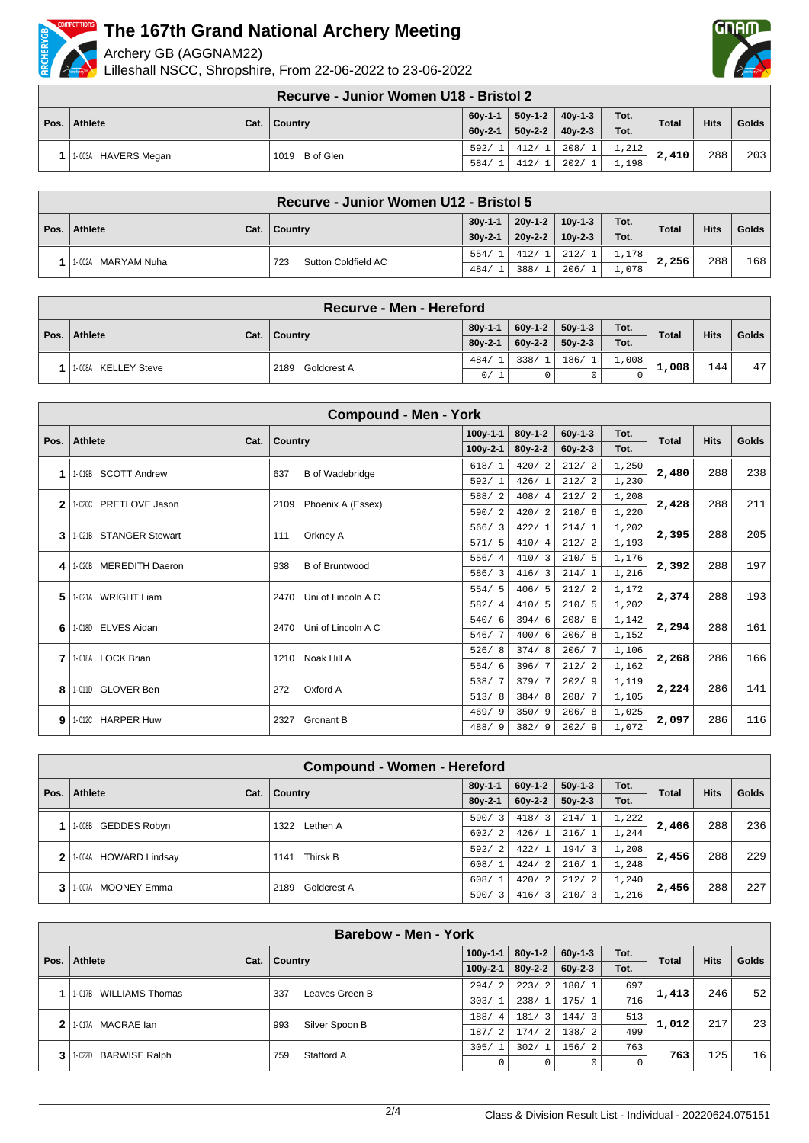

Archery GB (AGGNAM22)

Lilleshall NSCC, Shropshire, From 22-06-2022 to 23-06-2022



**Recurve - Junior Women U18 - Bristol 2**

|              |                     | .              | ----------- |           |           |       |              |             |       |
|--------------|---------------------|----------------|-------------|-----------|-----------|-------|--------------|-------------|-------|
|              | Athlete             | Cat.   Country | $60y-1-1$   | $50y-1-2$ | $40v-1-3$ | Tot.  | <b>Total</b> | <b>Hits</b> | Golds |
| Pos. $\vert$ |                     |                | $60v-2-1$   | $50y-2-2$ | $40v-2-3$ | Tot.  |              |             |       |
|              | 1-003A HAVERS Megan | 1019 B of Glen | 592/        | 412/1     | 208/1     | 1,212 | 2,410        | 288         | 203   |
|              |                     |                | 584/        | 412/      | 202/      | 1,198 |              |             |       |

|      |                    |                   | Recurve - Junior Women U12 - Bristol 5 |           |           |           |       |              |     |       |
|------|--------------------|-------------------|----------------------------------------|-----------|-----------|-----------|-------|--------------|-----|-------|
|      | Athlete            |                   |                                        | $30y-1-1$ | $20v-1-2$ | $10v-1-3$ | Tot.  | <b>Total</b> |     | Golds |
| Pos. |                    | Cat.<br>∣ Country | $30v-2-1$                              | $20v-2-2$ | $10v-2-3$ | Tot.      |       | <b>Hits</b>  |     |       |
|      | 1-002A MARYAM Nuha |                   | Sutton Coldfield AC<br>723             | 554/      | 412/      | 212/      | 1,178 | 2,256        | 288 | 168   |
|      |                    |                   |                                        | 484/      | 388/      | 206/      | L.078 |              |     |       |

|                     | Recurve - Men - Hereford |           |           |           |       |              |                  |       |
|---------------------|--------------------------|-----------|-----------|-----------|-------|--------------|------------------|-------|
| Pos.   Athlete      | Cat.   Country           | $80y-1-1$ | $60v-1-2$ | $50y-1-3$ | Tot.  | <b>Total</b> | <b>Hits</b>      | Golds |
|                     |                          | $80v-2-1$ | $60v-2-2$ | $50v-2-3$ | Tot.  |              |                  |       |
| 1-008A KELLEY Steve | Goldcrest A<br>2189      | 484/      | 338/      | 186/1     | 1,008 | 1,008        | 144 <sub>1</sub> | 47    |
|                     |                          | 0/1       |           |           |       |              |                  |       |

|              | <b>Compound - Men - York</b>     |      |                               |            |           |           |       |              |             |              |  |
|--------------|----------------------------------|------|-------------------------------|------------|-----------|-----------|-------|--------------|-------------|--------------|--|
| Pos.         | <b>Athlete</b>                   | Cat. | Country                       | $100y-1-1$ | $80v-1-2$ | $60v-1-3$ | Tot.  | <b>Total</b> | <b>Hits</b> | <b>Golds</b> |  |
|              |                                  |      |                               | $100y-2-1$ | $80y-2-2$ | $60y-2-3$ | Tot.  |              |             |              |  |
| 1            | <b>SCOTT Andrew</b><br>1-019B    |      | <b>B</b> of Wadebridge<br>637 | 618/1      | 420/2     | 212/2     | 1,250 | 2,480        | 288         | 238          |  |
|              |                                  |      |                               | 592/1      | 426/1     | 212/2     | 1,230 |              |             |              |  |
| $\mathbf{2}$ | PRETLOVE Jason<br>1-020C         |      | 2109<br>Phoenix A (Essex)     | 588/2      | 408/4     | 212/2     | 1,208 | 2,428        | 288         | 211          |  |
|              |                                  |      |                               | 590/2      | 420/2     | 210/6     | 1,220 |              |             |              |  |
| 3            | 1-021B STANGER Stewart           |      | Orkney A<br>111               | 566/3      | 422/1     | 214/1     | 1,202 | 2,395        | 288         | 205          |  |
|              |                                  |      |                               | 571/5      | 410/4     | 212/2     | 1,193 |              |             |              |  |
| 4            | <b>MEREDITH Daeron</b><br>1-020B |      | 938<br><b>B</b> of Bruntwood  | 556/4      | 410/3     | 210/5     | 1,176 | 2,392        | 288         | 197          |  |
|              |                                  |      |                               | 586/3      | 416/3     | 214/1     | 1,216 |              |             |              |  |
| 5            | 1-021A WRIGHT Liam               |      | Uni of Lincoln A C<br>2470    | 554/5      | 406/5     | 212/2     | 1,172 | 2,374        | 288         | 193          |  |
|              |                                  |      |                               | 582/4      | 410/5     | 210/5     | 1,202 |              |             |              |  |
| 6            | 1-018D ELVES Aidan               |      | Uni of Lincoln A C<br>2470    | 540/6      | 394/6     | 208/6     | 1,142 | 2,294        | 288         | 161          |  |
|              |                                  |      |                               | 546/7      | 400/6     | 206/8     | 1,152 |              |             |              |  |
| 7            | 1-018A LOCK Brian                |      | Noak Hill A<br>1210           | 526/8      | 374/8     | 206/7     | 1,106 | 2,268        | 286         | 166          |  |
|              |                                  |      |                               | 554/6      | 396/7     | 212/2     | 1,162 |              |             |              |  |
| 8            | 1-011D GLOVER Ben                |      | Oxford A<br>272               | 538/7      | 379/7     | 202/9     | 1,119 | 2,224        | 286         | 141          |  |
|              |                                  |      |                               | 513/8      | 384/8     | 208/7     | 1,105 |              |             |              |  |
| 9            | 1-012C HARPER Huw                |      | <b>Gronant B</b><br>2327      | 469/9      | 350/9     | 206/8     | 1,025 | 2,097        | 286         | 116          |  |
|              |                                  |      |                               | 488/9      | 382/9     | 202/9     | 1,072 |              |             |              |  |

| <b>Compound - Women - Hereford</b> |      |                     |                        |                        |                                 |       |              |             |              |  |
|------------------------------------|------|---------------------|------------------------|------------------------|---------------------------------|-------|--------------|-------------|--------------|--|
| Pos.   Athlete                     | Cat. | <b>Country</b>      | $80y-1-1$              | $60v-1-2$              | $50v-1-3$                       | Tot.  | <b>Total</b> | <b>Hits</b> | <b>Golds</b> |  |
|                                    |      |                     | $80y-2-1$              | $60v-2-2$              | $50y-2-3$                       | Tot.  |              |             |              |  |
| <b>GEDDES Robyn</b><br>1-008B      |      | Lethen A<br>1322    | 590/<br>3              | 3<br>418/              | 214/1                           | 1,222 | 2,466        | 288         | 236          |  |
|                                    |      |                     | 602/<br>$\overline{2}$ | 426/1                  | 216/1                           | 1,244 |              |             |              |  |
| 1-004A HOWARD Lindsay              |      | Thirsk B<br>1141    | 592/<br>$\mathfrak{D}$ | 422/                   | 194/<br>$\overline{\mathbf{3}}$ | 1,208 | 2,456        | 288         | 229          |  |
|                                    |      |                     | 608/<br>$\overline{1}$ | $\overline{2}$<br>424/ | 216/1                           | 1,248 |              |             |              |  |
| <b>MOONEY Emma</b><br>1-007A       |      | Goldcrest A<br>2189 | 608/<br>$\overline{1}$ | $\mathfrak{D}$<br>420/ | 212/<br>$\overline{2}$          | 1,240 |              | 288         | 227          |  |
|                                    |      |                     | 3<br>590/              | 416/3                  | 210/3                           | 1,216 | 2,456        |             |              |  |

|              | <b>Barebow - Men - York</b>    |                                              |                       |                        |           |           |      |              |             |       |  |  |
|--------------|--------------------------------|----------------------------------------------|-----------------------|------------------------|-----------|-----------|------|--------------|-------------|-------|--|--|
| Pos.         | Athlete                        | Cat.                                         | <b>Country</b>        | $100y - 1 - 1$         | $80y-1-2$ | $60v-1-3$ | Tot. | <b>Total</b> | <b>Hits</b> | Golds |  |  |
|              |                                |                                              |                       | $100y - 2 - 1$         | $80y-2-2$ | $60y-2-3$ | Tot. |              |             |       |  |  |
|              | WILLIAMS Thomas                |                                              | Leaves Green B<br>337 | 2<br>294/              | 223/2     | 180/1     | 697  | 1,413        | 246         | 52    |  |  |
|              | 1-017B                         |                                              |                       | 303/1                  | 238/1     | 175/1     | 716  |              |             |       |  |  |
| $\mathbf{2}$ | 1-017A MACRAE lan              |                                              | Silver Spoon B<br>993 | 188/<br>$\overline{4}$ | 181/3     | 144/3     | 513  | 1,012        | 217         | 23    |  |  |
|              |                                |                                              |                       | 187/<br>2              | 174/2     | 138/2     | 499  |              |             |       |  |  |
|              | <b>BARWISE Ralph</b><br>1-022D | 305/1<br>302/1<br>156/2<br>Stafford A<br>759 |                       | 763                    | 763       | 125       |      |              |             |       |  |  |
| 3            |                                |                                              |                       |                        |           |           |      |              |             | 16    |  |  |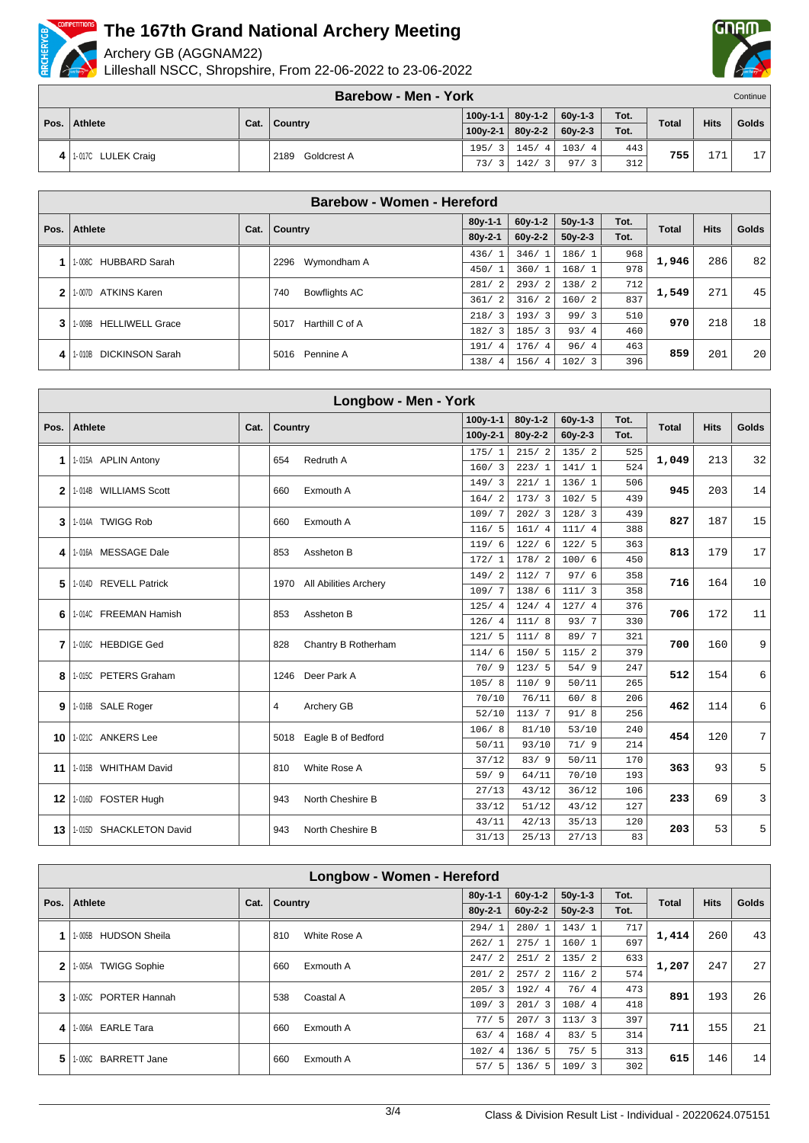

Archery GB (AGGNAM22)

Lilleshall NSCC, Shropshire, From 22-06-2022 to 23-06-2022



|   |                    | <b>Barebow - Men - York</b> |                       |               |           |      |              |             | Continue |
|---|--------------------|-----------------------------|-----------------------|---------------|-----------|------|--------------|-------------|----------|
|   | Pos.   Athlete     |                             | $100v-1-1$            | $80v-1-2$     | $60y-1-3$ | Tot. | <b>Total</b> | <b>Hits</b> | Golds    |
|   |                    | Cat.   Country              | $100v-2-1$            | $80y - 2 - 2$ | $60v-2-3$ | Tot. |              |             |          |
| 4 | 1-017C LULEK Craig | Goldcrest A<br>2189         | 195/3                 | 145/4         | 103/4     | 443  | 755          | 171         | 17       |
|   |                    |                             | 73/<br>$\overline{3}$ | 142/3         | 97/3      | 312  |              |             |          |

|             | Barebow - Women - Hereford       |      |                         |                        |           |           |      |              |             |       |  |  |
|-------------|----------------------------------|------|-------------------------|------------------------|-----------|-----------|------|--------------|-------------|-------|--|--|
| Pos.        | <b>Athlete</b>                   | Cat. | Country                 | $80y-1-1$              | $60v-1-2$ | $50v-1-3$ | Tot. | <b>Total</b> | <b>Hits</b> | Golds |  |  |
|             |                                  |      |                         | $80y-2-1$              | $60y-2-2$ | $50y-2-3$ | Tot. |              |             |       |  |  |
|             | 1-008C HUBBARD Sarah             |      | 2296<br>Wymondham A     | 436/1                  | 346/1     | 186/1     | 968  | 1,946        | 286         | 82    |  |  |
|             |                                  |      |                         | 450/1                  | 360/1     | 168/1     | 978  |              |             |       |  |  |
| 2           | <b>ATKINS Karen</b><br>1-007D    |      | Bowflights AC<br>740    | 281/2                  | 293/2     | 138/2     | 712  | 1,549        | 271         | 45    |  |  |
|             |                                  |      |                         | 361/2                  | 316/2     | 160/2     | 837  |              |             |       |  |  |
| 3           | <b>HELLIWELL Grace</b><br>1-009B |      | Harthill C of A<br>5017 | 218/3                  | 193/3     | 99/3      | 510  | 970          | 218         | 18    |  |  |
|             |                                  |      |                         | 182/3                  | 185/3     | 93/4      | 460  |              |             |       |  |  |
| 1-010B<br>4 | <b>DICKINSON Sarah</b>           |      | Pennine A<br>5016       | 191/4                  | 176/4     | 96/4      | 463  | 859          | 201         | 20    |  |  |
|             |                                  |      |                         | 138/<br>$\overline{4}$ | 156/4     | 102/3     | 396  |              |             |       |  |  |

|                 |                         |      |         | Longbow - Men - York       |            |           |               |      |              |             |                 |
|-----------------|-------------------------|------|---------|----------------------------|------------|-----------|---------------|------|--------------|-------------|-----------------|
| Pos.            | Athlete                 |      |         |                            | $100y-1-1$ | $80y-1-2$ | $60y-1-3$     | Tot. | <b>Total</b> | <b>Hits</b> | <b>Golds</b>    |
|                 |                         | Cat. | Country |                            | $100y-2-1$ | $80y-2-2$ | $60y - 2 - 3$ | Tot. |              |             |                 |
|                 |                         |      |         |                            | 175/1      | 215/2     | 135/2         | 525  |              |             |                 |
| 1               | 1-015A APLIN Antony     |      | 654     | Redruth A                  | 160/3      | 223/1     | 141/1         | 524  | 1,049        | 213         | 32              |
| 2 <sup>1</sup>  | 1-014B WILLIAMS Scott   |      | 660     | Exmouth A                  | 149/3      | 221/1     | 136/1         | 506  | 945          | 203         | 14              |
|                 |                         |      |         |                            | 164/2      | 173/3     | 102/5         | 439  |              |             |                 |
| 3               | 1-014A TWIGG Rob        |      | 660     | Exmouth A                  | 109/7      | 202/3     | 128/3         | 439  | 827          | 187         | 15              |
|                 |                         |      |         |                            | 116/5      | 161/4     | 111/4         | 388  |              |             |                 |
| 4               | 1-016A MESSAGE Dale     |      | 853     | Assheton B                 | 119/6      | 122/6     | 122/5         | 363  | 813          | 179         | 17              |
|                 |                         |      |         |                            | 172/1      | 178/2     | 100/6         | 450  |              |             |                 |
| 5               | 1-014D REVELL Patrick   |      |         | 1970 All Abilities Archery | 149/2      | 112/7     | 97/6          | 358  | 716          | 164         | 10 <sup>1</sup> |
|                 |                         |      |         |                            | 109/7      | 138/6     | 111/3         | 358  |              |             |                 |
| 6               | 1-014C FREEMAN Hamish   |      | 853     | Assheton B                 | 125/4      | 124/4     | 127/4         | 376  | 706          | 172         | 11              |
|                 |                         |      |         |                            | 126/4      | 111/8     | 93/7          | 330  |              |             |                 |
| 7               | 1-016C HEBDIGE Ged      |      | 828     | Chantry B Rotherham        | 121/5      | 111/8     | 89/7          | 321  | 700          | 160         | 9 <sup>1</sup>  |
|                 |                         |      |         |                            | 114/6      | 150/5     | 115/2         | 379  |              |             |                 |
| 8               | 1-015C PETERS Graham    |      | 1246    | Deer Park A                | 70/9       | 123/5     | 54/9          | 247  | 512          | 154         | 6 <sup>1</sup>  |
|                 |                         |      |         |                            | 105/8      | 110/9     | 50/11         | 265  |              |             |                 |
| 9               | 1-016B SALE Roger       |      | 4       | Archery GB                 | 70/10      | 76/11     | 60/8          | 206  | 462          | 114         | 6               |
|                 |                         |      |         |                            | 52/10      | 113/7     | 91/8          | 256  |              |             |                 |
| 10              | 1-021C ANKERS Lee       |      | 5018    | Eagle B of Bedford         | 106/8      | 81/10     | 53/10         | 240  | 454          | 120         | 7 <sup>1</sup>  |
|                 |                         |      |         |                            | 50/11      | 93/10     | 71/9          | 214  |              |             |                 |
| 11              | 1-015B WHITHAM David    |      | 810     | White Rose A               | 37/12      | 83/9      | 50/11         | 170  | 363          | 93          | 5 <sup>1</sup>  |
|                 |                         |      |         |                            | 59/9       | 64/11     | 70/10         | 193  |              |             |                 |
| 12 <sub>1</sub> | 1-016D FOSTER Hugh      |      | 943     | North Cheshire B           | 27/13      | 43/12     | 36/12         | 106  | 233          | 69          | $\overline{3}$  |
|                 |                         |      |         |                            | 33/12      | 51/12     | 43/12         | 127  |              |             |                 |
| 13 <sup>1</sup> | 1-015D SHACKLETON David |      | 943     | North Cheshire B           | 43/11      | 42/13     | 35/13         | 120  | 203          | 53          | 5               |
|                 |                         |      |         |                            | 31/13      | 25/13     | 27/13         | 83   |              |             |                 |

|      | Longbow - Women - Hereford     |      |         |              |                       |           |           |      |              |             |       |  |
|------|--------------------------------|------|---------|--------------|-----------------------|-----------|-----------|------|--------------|-------------|-------|--|
| Pos. | Athlete                        | Cat. | Country |              | $80y-1-1$             | $60v-1-2$ | $50y-1-3$ | Tot. | <b>Total</b> | <b>Hits</b> | Golds |  |
|      |                                |      |         |              | $80y-2-1$             | $60y-2-2$ | $50y-2-3$ | Tot. |              |             |       |  |
|      | <b>HUDSON Sheila</b><br>1-005B |      | 810     | White Rose A | 294/1                 | 280/1     | 143/1     | 717  | 1,414        | 260         | 43    |  |
|      |                                |      |         |              | 262/1                 | 275/1     | 160/1     | 697  |              |             |       |  |
| 2    | <b>TWIGG Sophie</b><br>1-005A  |      | 660     | Exmouth A    | 247/2                 | 251/2     | 135/2     | 633  | 1,207        | 247         | 27    |  |
|      |                                |      |         |              | 201/2                 | 257/2     | 116/2     | 574  |              |             |       |  |
| 3    | 1-005C PORTER Hannah           |      | 538     | Coastal A    | 205/3                 | 192/4     | 76/4      | 473  | 891          | 193         | 26    |  |
|      |                                |      |         |              | 109/3                 | 201/3     | 108/4     | 418  |              |             |       |  |
| 4    | 1-006A EARLE Tara              |      | 660     | Exmouth A    | 77/5                  | 207/3     | 113/3     | 397  | 711          | 155         | 21    |  |
|      |                                |      |         |              | 63/<br>$\overline{4}$ | 168/4     | 83/5      | 314  |              |             |       |  |
| 5    | <b>BARRETT Jane</b><br>1-006C  |      | 660     | Exmouth A    | 102/4                 | 136/5     | 75/5      | 313  | 615          | 146         | 14    |  |
|      |                                |      |         |              | 57/5                  | 136/5     | 109/3     | 302  |              |             |       |  |